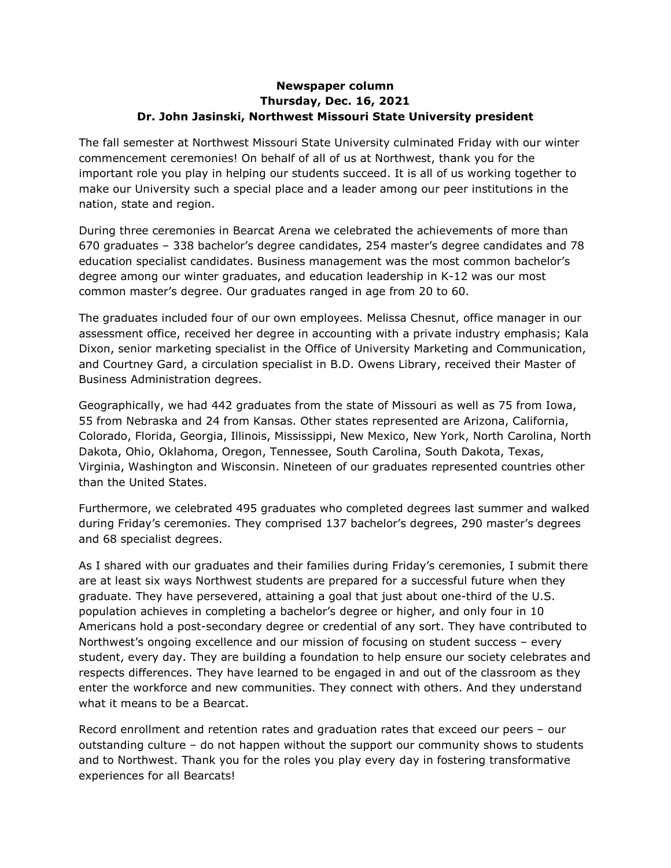## **Newspaper column Thursday, Dec. 16, 2021 Dr. John Jasinski, Northwest Missouri State University president**

The fall semester at Northwest Missouri State University culminated Friday with our winter commencement ceremonies! On behalf of all of us at Northwest, thank you for the important role you play in helping our students succeed. It is all of us working together to make our University such a special place and a leader among our peer institutions in the nation, state and region.

During three ceremonies in Bearcat Arena we celebrated the achievements of more than 670 graduates – 338 bachelor's degree candidates, 254 master's degree candidates and 78 education specialist candidates. Business management was the most common bachelor's degree among our winter graduates, and education leadership in K-12 was our most common master's degree. Our graduates ranged in age from 20 to 60.

The graduates included four of our own employees. Melissa Chesnut, office manager in our assessment office, received her degree in accounting with a private industry emphasis; Kala Dixon, senior marketing specialist in the Office of University Marketing and Communication, and Courtney Gard, a circulation specialist in B.D. Owens Library, received their Master of Business Administration degrees.

Geographically, we had 442 graduates from the state of Missouri as well as 75 from Iowa, 55 from Nebraska and 24 from Kansas. Other states represented are Arizona, California, Colorado, Florida, Georgia, Illinois, Mississippi, New Mexico, New York, North Carolina, North Dakota, Ohio, Oklahoma, Oregon, Tennessee, South Carolina, South Dakota, Texas, Virginia, Washington and Wisconsin. Nineteen of our graduates represented countries other than the United States.

Furthermore, we celebrated 495 graduates who completed degrees last summer and walked during Friday's ceremonies. They comprised 137 bachelor's degrees, 290 master's degrees and 68 specialist degrees.

As I shared with our graduates and their families during Friday's ceremonies, I submit there are at least six ways Northwest students are prepared for a successful future when they graduate. They have persevered, attaining a goal that just about one-third of the U.S. population achieves in completing a bachelor's degree or higher, and only four in 10 Americans hold a post-secondary degree or credential of any sort. They have contributed to Northwest's ongoing excellence and our mission of focusing on student success – every student, every day. They are building a foundation to help ensure our society celebrates and respects differences. They have learned to be engaged in and out of the classroom as they enter the workforce and new communities. They connect with others. And they understand what it means to be a Bearcat.

Record enrollment and retention rates and graduation rates that exceed our peers – our outstanding culture – do not happen without the support our community shows to students and to Northwest. Thank you for the roles you play every day in fostering transformative experiences for all Bearcats!